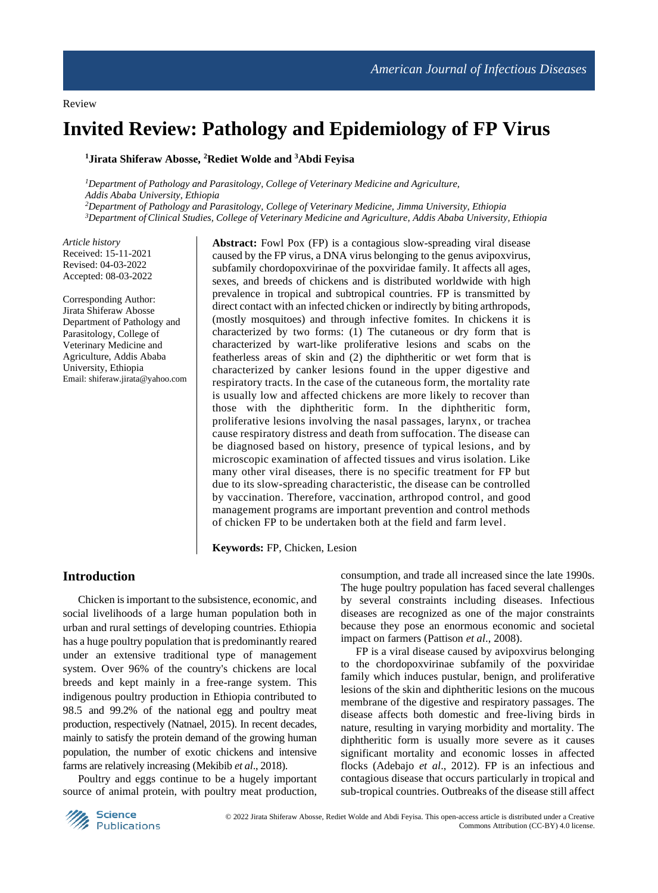# **Invited Review: Pathology and Epidemiology of FP Virus**

#### **<sup>1</sup>Jirata Shiferaw Abosse, <sup>2</sup>Rediet Wolde and <sup>3</sup>Abdi Feyisa**

*Department of Pathology and Parasitology, College of Veterinary Medicine and Agriculture, Addis Ababa University, Ethiopia Department of Pathology and Parasitology, College of Veterinary Medicine, Jimma University, Ethiopia Department of Clinical Studies, College of Veterinary Medicine and Agriculture, Addis Ababa University, Ethiopia*

*Article history* Received: 15-11-2021 Revised: 04-03-2022 Accepted: 08-03-2022

Corresponding Author: Jirata Shiferaw Abosse Department of Pathology and Parasitology, College of Veterinary Medicine and Agriculture, Addis Ababa University, Ethiopia Email: shiferaw.jirata@yahoo.com **Abstract:** Fowl Pox (FP) is a contagious slow-spreading viral disease caused by the FP virus, a DNA virus belonging to the genus avipoxvirus, subfamily chordopoxvirinae of the poxviridae family. It affects all ages, sexes, and breeds of chickens and is distributed worldwide with high prevalence in tropical and subtropical countries. FP is transmitted by direct contact with an infected chicken or indirectly by biting arthropods, (mostly mosquitoes) and through infective fomites. In chickens it is characterized by two forms: (1) The cutaneous or dry form that is characterized by wart-like proliferative lesions and scabs on the featherless areas of skin and (2) the diphtheritic or wet form that is characterized by canker lesions found in the upper digestive and respiratory tracts. In the case of the cutaneous form, the mortality rate is usually low and affected chickens are more likely to recover than those with the diphtheritic form. In the diphtheritic form, proliferative lesions involving the nasal passages, larynx*,* or trachea cause respiratory distress and death from suffocation. The disease can be diagnosed based on history, presence of typical lesions, and by microscopic examination of affected tissues and virus isolation. Like many other viral diseases, there is no specific treatment for FP but due to its slow-spreading characteristic, the disease can be controlled by vaccination. Therefore, vaccination, arthropod control, and good management programs are important prevention and control methods of chicken FP to be undertaken both at the field and farm level.

**Keywords:** FP, Chicken, Lesion

# **Introduction**

Chicken is important to the subsistence, economic, and social livelihoods of a large human population both in urban and rural settings of developing countries. Ethiopia has a huge poultry population that is predominantly reared under an extensive traditional type of management system. Over 96% of the country's chickens are local breeds and kept mainly in a free-range system. This indigenous poultry production in Ethiopia contributed to 98.5 and 99.2% of the national egg and poultry meat production, respectively (Natnael, 2015). In recent decades, mainly to satisfy the protein demand of the growing human population, the number of exotic chickens and intensive farms are relatively increasing (Mekibib *et al*., 2018).

Poultry and eggs continue to be a hugely important source of animal protein, with poultry meat production,

consumption, and trade all increased since the late 1990s. The huge poultry population has faced several challenges by several constraints including diseases. Infectious diseases are recognized as one of the major constraints because they pose an enormous economic and societal impact on farmers (Pattison *et al*., 2008).

FP is a viral disease caused by avipoxvirus belonging to the chordopoxvirinae subfamily of the poxviridae family which induces pustular, benign, and proliferative lesions of the skin and diphtheritic lesions on the mucous membrane of the digestive and respiratory passages. The disease affects both domestic and free-living birds in nature, resulting in varying morbidity and mortality. The diphtheritic form is usually more severe as it causes significant mortality and economic losses in affected flocks (Adebajo *et al*., 2012). FP is an infectious and contagious disease that occurs particularly in tropical and sub-tropical countries. Outbreaks of the disease still affect

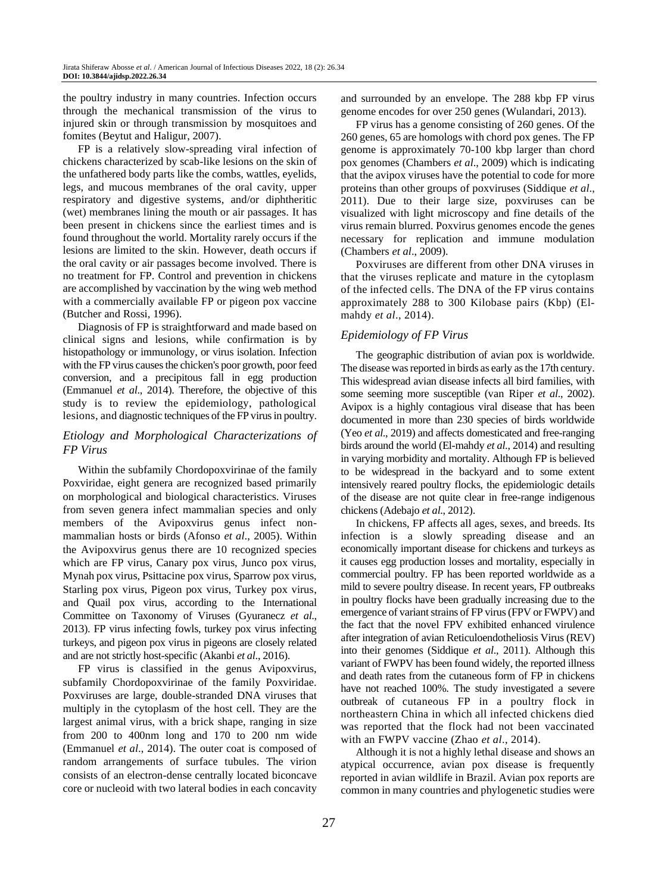the poultry industry in many countries. Infection occurs through the mechanical transmission of the virus to injured skin or through transmission by mosquitoes and fomites (Beytut and Haligur, 2007).

FP is a relatively slow-spreading viral infection of chickens characterized by scab-like lesions on the skin of the unfathered body parts like the combs, wattles, eyelids, legs, and mucous membranes of the oral cavity, upper respiratory and digestive systems, and/or diphtheritic (wet) membranes lining the mouth or air passages. It has been present in chickens since the earliest times and is found throughout the world. Mortality rarely occurs if the lesions are limited to the skin. However, death occurs if the oral cavity or air passages become involved. There is no treatment for FP. Control and prevention in chickens are accomplished by vaccination by the wing web method with a commercially available FP or pigeon pox vaccine (Butcher and Rossi, 1996).

Diagnosis of FP is straightforward and made based on clinical signs and lesions, while confirmation is by histopathology or immunology, or virus isolation. Infection with the FP virus causes the chicken's poor growth, poor feed conversion, and a precipitous fall in egg production (Emmanuel *et al*., 2014). Therefore, the objective of this study is to review the epidemiology, pathological lesions, and diagnostic techniques of the FP virus in poultry.

# *Etiology and Morphological Characterizations of FP Virus*

Within the subfamily Chordopoxvirinae of the family Poxviridae, eight genera are recognized based primarily on morphological and biological characteristics. Viruses from seven genera infect mammalian species and only members of the Avipoxvirus genus infect nonmammalian hosts or birds (Afonso *et al*., 2005). Within the Avipoxvirus genus there are 10 recognized species which are FP virus, Canary pox virus, Junco pox virus, Mynah pox virus, Psittacine pox virus, Sparrow pox virus, Starling pox virus, Pigeon pox virus, Turkey pox virus, and Quail pox virus, according to the International Committee on Taxonomy of Viruses (Gyuranecz *et al*., 2013). FP virus infecting fowls, turkey pox virus infecting turkeys, and pigeon pox virus in pigeons are closely related and are not strictly host-specific (Akanbi *et al*., 2016).

FP virus is classified in the genus Avipoxvirus, subfamily Chordopoxvirinae of the family Poxviridae. Poxviruses are large, double-stranded DNA viruses that multiply in the cytoplasm of the host cell. They are the largest animal virus, with a brick shape, ranging in size from 200 to 400nm long and 170 to 200 nm wide (Emmanuel *et al*., 2014). The outer coat is composed of random arrangements of surface tubules. The virion consists of an electron-dense centrally located biconcave core or nucleoid with two lateral bodies in each concavity and surrounded by an envelope. The 288 kbp FP virus genome encodes for over 250 genes (Wulandari, 2013).

FP virus has a genome consisting of 260 genes. Of the 260 genes, 65 are homologs with chord pox genes. The FP genome is approximately 70-100 kbp larger than chord pox genomes (Chambers *et al*., 2009) which is indicating that the avipox viruses have the potential to code for more proteins than other groups of poxviruses (Siddique *et al*., 2011). Due to their large size, poxviruses can be visualized with light microscopy and fine details of the virus remain blurred. Poxvirus genomes encode the genes necessary for replication and immune modulation (Chambers *et al*., 2009).

Poxviruses are different from other DNA viruses in that the viruses replicate and mature in the cytoplasm of the infected cells. The DNA of the FP virus contains approximately 288 to 300 Kilobase pairs (Kbp) (Elmahdy *et al*., 2014).

# *Epidemiology of FP Virus*

The geographic distribution of avian pox is worldwide. The disease was reported in birds as early as the 17th century. This widespread avian disease infects all bird families, with some seeming more susceptible (van Riper *et al*., 2002). Avipox is a highly contagious viral disease that has been documented in more than 230 species of birds worldwide (Yeo *et al*., 2019) and affects domesticated and free-ranging birds around the world (El-mahdy *et al*., 2014) and resulting in varying morbidity and mortality. Although FP is believed to be widespread in the backyard and to some extent intensively reared poultry flocks, the epidemiologic details of the disease are not quite clear in free-range indigenous chickens (Adebajo *et al*., 2012).

In chickens, FP affects all ages, sexes, and breeds. Its infection is a slowly spreading disease and an economically important disease for chickens and turkeys as it causes egg production losses and mortality, especially in commercial poultry. FP has been reported worldwide as a mild to severe poultry disease. In recent years, FP outbreaks in poultry flocks have been gradually increasing due to the emergence of variant strains of FP virus (FPV or FWPV) and the fact that the novel FPV exhibited enhanced virulence after integration of avian Reticuloendotheliosis Virus (REV) into their genomes (Siddique *et al*., 2011). Although this variant of FWPV has been found widely, the reported illness and death rates from the cutaneous form of FP in chickens have not reached 100%. The study investigated a severe outbreak of cutaneous FP in a poultry flock in northeastern China in which all infected chickens died was reported that the flock had not been vaccinated with an FWPV vaccine (Zhao *et al*., 2014).

Although it is not a highly lethal disease and shows an atypical occurrence, avian pox disease is frequently reported in avian wildlife in Brazil. Avian pox reports are common in many countries and phylogenetic studies were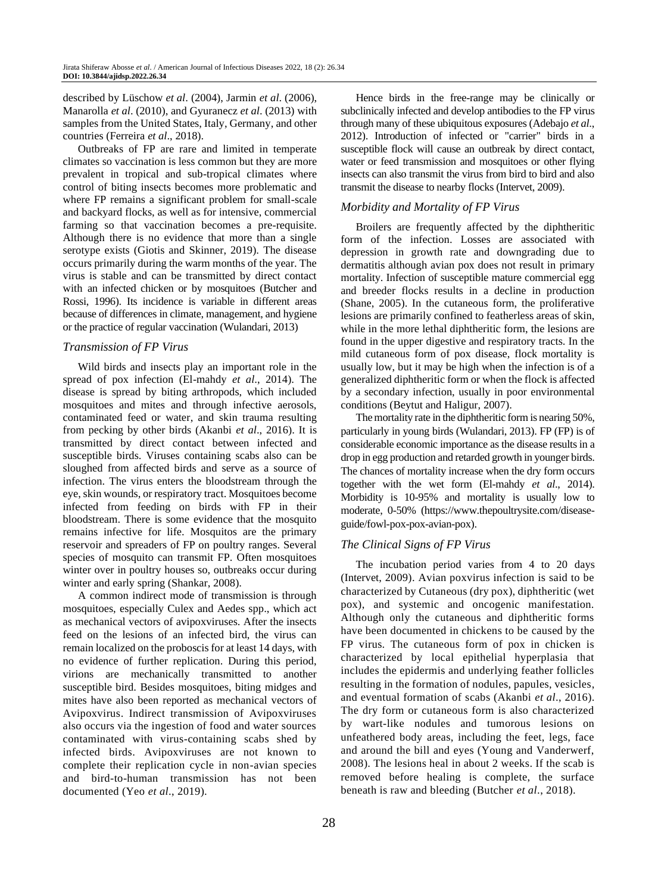described by Lüschow *et al*. (2004), Jarmin *et al*. (2006), Manarolla *et al*. (2010), and Gyuranecz *et al*. (2013) with samples from the United States, Italy, Germany, and other countries (Ferreira *et al*., 2018).

Outbreaks of FP are rare and limited in temperate climates so vaccination is less common but they are more prevalent in tropical and sub-tropical climates where control of biting insects becomes more problematic and where FP remains a significant problem for small-scale and backyard flocks, as well as for intensive, commercial farming so that vaccination becomes a pre-requisite. Although there is no evidence that more than a single serotype exists (Giotis and Skinner, 2019). The disease occurs primarily during the warm months of the year. The virus is stable and can be transmitted by direct contact with an infected chicken or by mosquitoes (Butcher and Rossi, 1996). Its incidence is variable in different areas because of differences in climate, management, and hygiene or the practice of regular vaccination (Wulandari, 2013)

# *Transmission of FP Virus*

Wild birds and insects play an important role in the spread of pox infection (El-mahdy *et al*., 2014). The disease is spread by biting arthropods, which included mosquitoes and mites and through infective aerosols, contaminated feed or water, and skin trauma resulting from pecking by other birds (Akanbi *et al*., 2016). It is transmitted by direct contact between infected and susceptible birds. Viruses containing scabs also can be sloughed from affected birds and serve as a source of infection. The virus enters the bloodstream through the eye, skin wounds, or respiratory tract. Mosquitoes become infected from feeding on birds with FP in their bloodstream. There is some evidence that the mosquito remains infective for life. Mosquitos are the primary reservoir and spreaders of FP on poultry ranges. Several species of mosquito can transmit FP. Often mosquitoes winter over in poultry houses so, outbreaks occur during winter and early spring (Shankar, 2008).

A common indirect mode of transmission is through mosquitoes, especially Culex and Aedes spp., which act as mechanical vectors of avipoxviruses. After the insects feed on the lesions of an infected bird, the virus can remain localized on the proboscis for at least 14 days, with no evidence of further replication. During this period, virions are mechanically transmitted to another susceptible bird. Besides mosquitoes, biting midges and mites have also been reported as mechanical vectors of Avipoxvirus. Indirect transmission of Avipoxviruses also occurs via the ingestion of food and water sources contaminated with virus-containing scabs shed by infected birds. Avipoxviruses are not known to complete their replication cycle in non-avian species and bird-to-human transmission has not been documented (Yeo *et al*., 2019).

Hence birds in the free-range may be clinically or subclinically infected and develop antibodies to the FP virus through many of these ubiquitous exposures (Adebajo *et al*., 2012). Introduction of infected or "carrier" birds in a susceptible flock will cause an outbreak by direct contact, water or feed transmission and mosquitoes or other flying insects can also transmit the virus from bird to bird and also transmit the disease to nearby flocks (Intervet, 2009).

# *Morbidity and Mortality of FP Virus*

Broilers are frequently affected by the diphtheritic form of the infection. Losses are associated with depression in growth rate and downgrading due to dermatitis although avian pox does not result in primary mortality. Infection of susceptible mature commercial egg and breeder flocks results in a decline in production (Shane, 2005). In the cutaneous form, the proliferative lesions are primarily confined to featherless areas of skin, while in the more lethal diphtheritic form, the lesions are found in the upper digestive and respiratory tracts. In the mild cutaneous form of pox disease, flock mortality is usually low, but it may be high when the infection is of a generalized diphtheritic form or when the flock is affected by a secondary infection, usually in poor environmental conditions (Beytut and Haligur, 2007).

The mortality rate in the diphtheritic form is nearing 50%, particularly in young birds (Wulandari, 2013). FP (FP) is of considerable economic importance as the disease results in a drop in egg production and retarded growth in younger birds. The chances of mortality increase when the dry form occurs together with the wet form (El-mahdy *et al*., 2014). Morbidity is 10-95% and mortality is usually low to moderate, 0-50% [\(https://www.thepoultrysite.com/disease](https://www.thepoultrysite.com/disease-guide/fowl-pox-pox-avian-pox)[guide/fowl-pox-pox-avian-pox\)](https://www.thepoultrysite.com/disease-guide/fowl-pox-pox-avian-pox).

# *The Clinical Signs of FP Virus*

The incubation period varies from 4 to 20 days (Intervet, 2009). Avian poxvirus infection is said to be characterized by Cutaneous (dry pox), diphtheritic (wet pox), and systemic and oncogenic manifestation. Although only the cutaneous and diphtheritic forms have been documented in chickens to be caused by the FP virus. The cutaneous form of pox in chicken is characterized by local epithelial hyperplasia that includes the epidermis and underlying feather follicles resulting in the formation of nodules, papules, vesicles, and eventual formation of scabs (Akanbi *et al*., 2016). The dry form or cutaneous form is also characterized by wart-like nodules and tumorous lesions on unfeathered body areas, including the feet, legs, face and around the bill and eyes (Young and Vanderwerf, 2008). The lesions heal in about 2 weeks. If the scab is removed before healing is complete, the surface beneath is raw and bleeding (Butcher *et al*., 2018).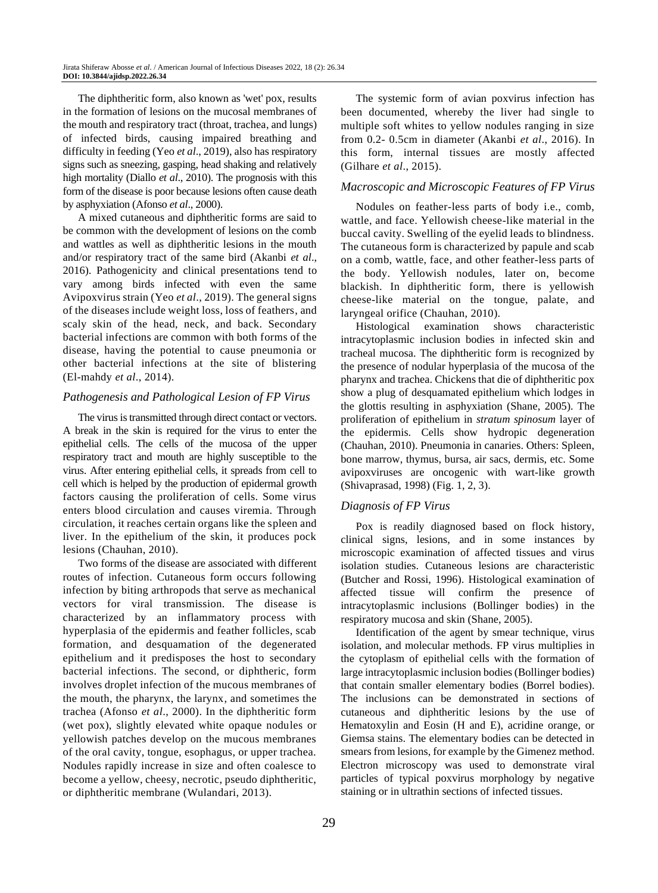The diphtheritic form, also known as 'wet' pox, results in the formation of lesions on the mucosal membranes of the mouth and respiratory tract (throat, trachea, and lungs) of infected birds, causing impaired breathing and difficulty in feeding (Yeo *et al*., 2019), also has respiratory signs such as sneezing, gasping, head shaking and relatively high mortality (Diallo *et al*., 2010). The prognosis with this form of the disease is poor because lesions often cause death by asphyxiation (Afonso *et al*., 2000).

A mixed cutaneous and diphtheritic forms are said to be common with the development of lesions on the comb and wattles as well as diphtheritic lesions in the mouth and/or respiratory tract of the same bird (Akanbi *et al*., 2016). Pathogenicity and clinical presentations tend to vary among birds infected with even the same Avipoxvirus strain (Yeo *et al*., 2019). The general signs of the diseases include weight loss, loss of feathers, and scaly skin of the head, neck, and back. Secondary bacterial infections are common with both forms of the disease, having the potential to cause pneumonia or other bacterial infections at the site of blistering (El-mahdy *et al*., 2014).

#### *Pathogenesis and Pathological Lesion of FP Virus*

The virus is transmitted through direct contact or vectors. A break in the skin is required for the virus to enter the epithelial cells. The cells of the mucosa of the upper respiratory tract and mouth are highly susceptible to the virus. After entering epithelial cells, it spreads from cell to cell which is helped by the production of epidermal growth factors causing the proliferation of cells. Some virus enters blood circulation and causes viremia. Through circulation, it reaches certain organs like the spleen and liver. In the epithelium of the skin, it produces pock lesions (Chauhan, 2010).

Two forms of the disease are associated with different routes of infection. Cutaneous form occurs following infection by biting arthropods that serve as mechanical vectors for viral transmission. The disease is characterized by an inflammatory process with hyperplasia of the epidermis and feather follicles, scab formation, and desquamation of the degenerated epithelium and it predisposes the host to secondary bacterial infections. The second, or diphtheric, form involves droplet infection of the mucous membranes of the mouth, the pharynx, the larynx, and sometimes the trachea (Afonso *et al*., 2000). In the diphtheritic form (wet pox), slightly elevated white opaque nodules or yellowish patches develop on the mucous membranes of the oral cavity, tongue, esophagus, or upper trachea. Nodules rapidly increase in size and often coalesce to become a yellow, cheesy, necrotic, pseudo diphtheritic, or diphtheritic membrane (Wulandari, 2013).

The systemic form of avian poxvirus infection has been documented, whereby the liver had single to multiple soft whites to yellow nodules ranging in size from 0.2- 0.5cm in diameter (Akanbi *et al*., 2016). In this form, internal tissues are mostly affected (Gilhare *et al*., 2015).

#### *Macroscopic and Microscopic Features of FP Virus*

Nodules on feather-less parts of body i.e., comb, wattle, and face. Yellowish cheese-like material in the buccal cavity. Swelling of the eyelid leads to blindness. The cutaneous form is characterized by papule and scab on a comb, wattle, face, and other feather-less parts of the body. Yellowish nodules, later on, become blackish. In diphtheritic form, there is yellowish cheese-like material on the tongue, palate, and laryngeal orifice (Chauhan, 2010).

Histological examination shows characteristic intracytoplasmic inclusion bodies in infected skin and tracheal mucosa. The diphtheritic form is recognized by the presence of nodular hyperplasia of the mucosa of the pharynx and trachea. Chickens that die of diphtheritic pox show a plug of desquamated epithelium which lodges in the glottis resulting in asphyxiation (Shane, 2005). The proliferation of epithelium in *stratum spinosum* layer of the epidermis. Cells show hydropic degeneration (Chauhan, 2010). Pneumonia in canaries. Others: Spleen, bone marrow, thymus, bursa, air sacs, dermis, etc. Some avipoxviruses are oncogenic with wart-like growth (Shivaprasad, 1998) (Fig. 1, 2, 3).

#### *Diagnosis of FP Virus*

Pox is readily diagnosed based on flock history, clinical signs, lesions, and in some instances by microscopic examination of affected tissues and virus isolation studies. Cutaneous lesions are characteristic (Butcher and Rossi, 1996). Histological examination of affected tissue will confirm the presence of intracytoplasmic inclusions (Bollinger bodies) in the respiratory mucosa and skin (Shane, 2005).

Identification of the agent by smear technique, virus isolation, and molecular methods. FP virus multiplies in the cytoplasm of epithelial cells with the formation of large intracytoplasmic inclusion bodies (Bollinger bodies) that contain smaller elementary bodies (Borrel bodies). The inclusions can be demonstrated in sections of cutaneous and diphtheritic lesions by the use of Hematoxylin and Eosin (H and E), acridine orange, or Giemsa stains. The elementary bodies can be detected in smears from lesions, for example by the Gimenez method. Electron microscopy was used to demonstrate viral particles of typical poxvirus morphology by negative staining or in ultrathin sections of infected tissues.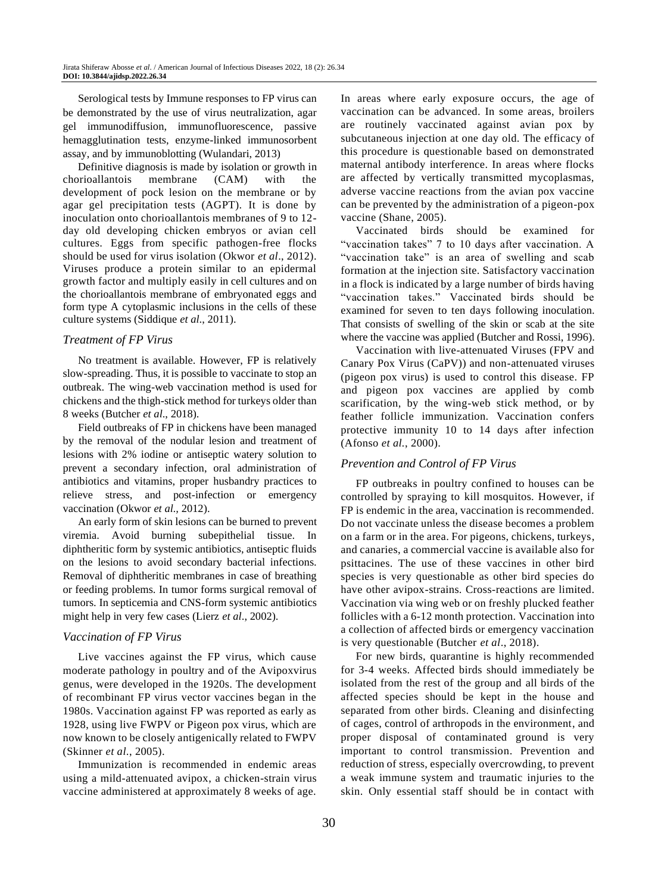Serological tests by Immune responses to FP virus can be demonstrated by the use of virus neutralization, agar gel immunodiffusion, immunofluorescence, passive hemagglutination tests, enzyme-linked immunosorbent assay, and by immunoblotting (Wulandari, 2013)

Definitive diagnosis is made by isolation or growth in chorioallantois membrane (CAM) with the development of pock lesion on the membrane or by agar gel precipitation tests (AGPT). It is done by inoculation onto chorioallantois membranes of 9 to 12 day old developing chicken embryos or avian cell cultures. Eggs from specific pathogen-free flocks should be used for virus isolation (Okwor *et al*., 2012). Viruses produce a protein similar to an epidermal growth factor and multiply easily in cell cultures and on the chorioallantois membrane of embryonated eggs and form type A cytoplasmic inclusions in the cells of these culture systems (Siddique *et al*., 2011).

#### *Treatment of FP Virus*

No treatment is available. However, FP is relatively slow-spreading. Thus, it is possible to vaccinate to stop an outbreak. The wing-web vaccination method is used for chickens and the thigh-stick method for turkeys older than 8 weeks (Butcher *et al*., 2018).

Field outbreaks of FP in chickens have been managed by the removal of the nodular lesion and treatment of lesions with 2% iodine or antiseptic watery solution to prevent a secondary infection, oral administration of antibiotics and vitamins, proper husbandry practices to relieve stress, and post-infection or emergency vaccination (Okwor *et al.,* 2012).

An early form of skin lesions can be burned to prevent viremia. Avoid burning subepithelial tissue. In diphtheritic form by systemic antibiotics, antiseptic fluids on the lesions to avoid secondary bacterial infections. Removal of diphtheritic membranes in case of breathing or feeding problems. In tumor forms surgical removal of tumors. In septicemia and CNS-form systemic antibiotics might help in very few cases (Lierz *et al*., 2002).

# *Vaccination of FP Virus*

Live vaccines against the FP virus, which cause moderate pathology in poultry and of the Avipoxvirus genus, were developed in the 1920s. The development of recombinant FP virus vector vaccines began in the 1980s. Vaccination against FP was reported as early as 1928, using live FWPV or Pigeon pox virus, which are now known to be closely antigenically related to FWPV (Skinner *et al*., 2005).

Immunization is recommended in endemic areas using a mild-attenuated avipox, a chicken-strain virus vaccine administered at approximately 8 weeks of age.

In areas where early exposure occurs, the age of vaccination can be advanced. In some areas, broilers are routinely vaccinated against avian pox by subcutaneous injection at one day old. The efficacy of this procedure is questionable based on demonstrated maternal antibody interference. In areas where flocks are affected by vertically transmitted mycoplasmas, adverse vaccine reactions from the avian pox vaccine can be prevented by the administration of a pigeon-pox vaccine (Shane, 2005).

Vaccinated birds should be examined for "vaccination takes" 7 to 10 days after vaccination. A "vaccination take" is an area of swelling and scab formation at the injection site. Satisfactory vaccination in a flock is indicated by a large number of birds having "vaccination takes." Vaccinated birds should be examined for seven to ten days following inoculation. That consists of swelling of the skin or scab at the site where the vaccine was applied (Butcher and Rossi, 1996).

Vaccination with live-attenuated Viruses (FPV and Canary Pox Virus (CaPV)) and non-attenuated viruses (pigeon pox virus) is used to control this disease. FP and pigeon pox vaccines are applied by comb scarification, by the wing-web stick method, or by feather follicle immunization. Vaccination confers protective immunity 10 to 14 days after infection (Afonso *et al.*, 2000).

# *Prevention and Control of FP Virus*

FP outbreaks in poultry confined to houses can be controlled by spraying to kill mosquitos. However, if FP is endemic in the area, vaccination is recommended. Do not vaccinate unless the disease becomes a problem on a farm or in the area. For pigeons, chickens, turkeys, and canaries, a commercial vaccine is available also for psittacines. The use of these vaccines in other bird species is very questionable as other bird species do have other avipox-strains. Cross-reactions are limited. Vaccination via wing web or on freshly plucked feather follicles with a 6-12 month protection. Vaccination into a collection of affected birds or emergency vaccination is very questionable (Butcher *et al*., 2018).

For new birds, quarantine is highly recommended for 3-4 weeks. Affected birds should immediately be isolated from the rest of the group and all birds of the affected species should be kept in the house and separated from other birds. Cleaning and disinfecting of cages, control of arthropods in the environment, and proper disposal of contaminated ground is very important to control transmission. Prevention and reduction of stress, especially overcrowding, to prevent a weak immune system and traumatic injuries to the skin. Only essential staff should be in contact with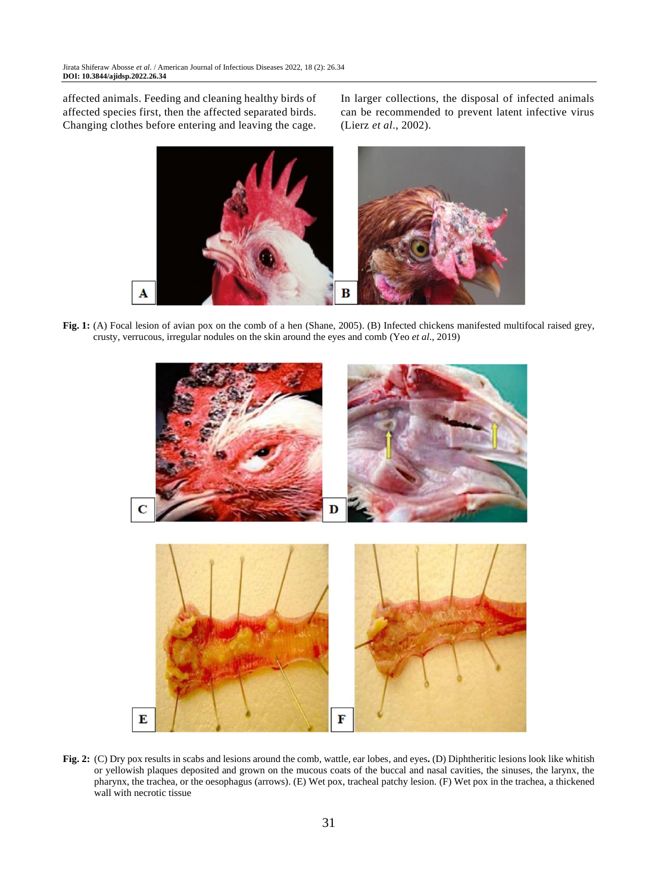affected animals. Feeding and cleaning healthy birds of affected species first, then the affected separated birds. Changing clothes before entering and leaving the cage. In larger collections, the disposal of infected animals can be recommended to prevent latent infective virus (Lierz *et al*., 2002).



**Fig. 1:** (A) Focal lesion of avian pox on the comb of a hen (Shane, 2005). (B) Infected chickens manifested multifocal raised grey, crusty, verrucous, irregular nodules on the skin around the eyes and comb (Yeo *et al*., 2019)



**Fig. 2:** (C) Dry pox results in scabs and lesions around the comb, wattle, ear lobes, and eyes**.** (D) Diphtheritic lesions look like whitish or yellowish plaques deposited and grown on the mucous coats of the buccal and nasal cavities, the sinuses, the larynx, the pharynx, the trachea, or the oesophagus (arrows). (E) Wet pox, tracheal patchy lesion. (F) Wet pox in the trachea, a thickened wall with necrotic tissue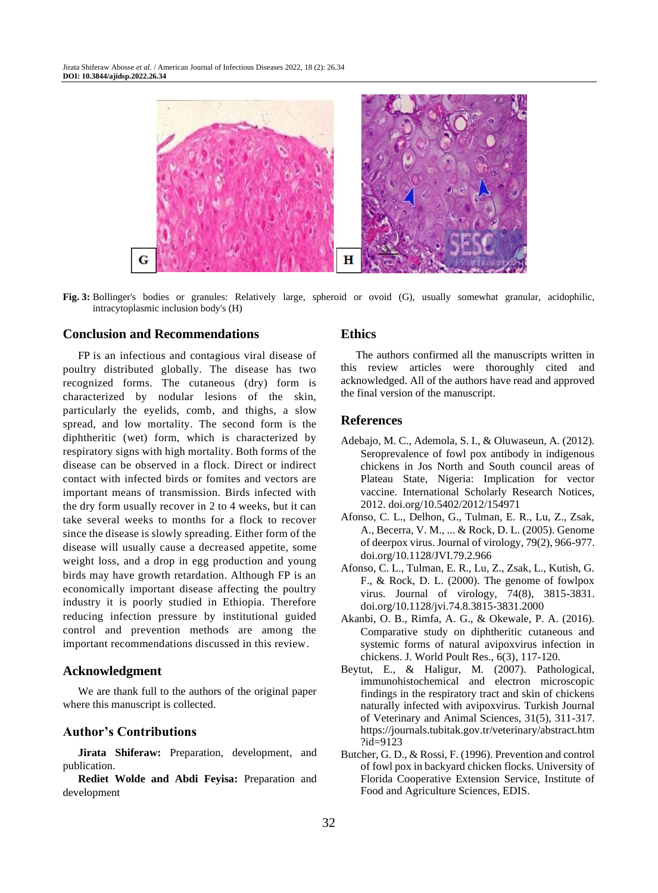

**Fig. 3:** Bollinger's bodies or granules: Relatively large, spheroid or ovoid (G), usually somewhat granular, acidophilic, intracytoplasmic inclusion body's (H)

# **Conclusion and Recommendations**

FP is an infectious and contagious viral disease of poultry distributed globally. The disease has two recognized forms. The cutaneous (dry) form is characterized by nodular lesions of the skin, particularly the eyelids, comb, and thighs, a slow spread, and low mortality. The second form is the diphtheritic (wet) form, which is characterized by respiratory signs with high mortality. Both forms of the disease can be observed in a flock. Direct or indirect contact with infected birds or fomites and vectors are important means of transmission. Birds infected with the dry form usually recover in 2 to 4 weeks, but it can take several weeks to months for a flock to recover since the disease is slowly spreading. Either form of the disease will usually cause a decreased appetite, some weight loss, and a drop in egg production and young birds may have growth retardation. Although FP is an economically important disease affecting the poultry industry it is poorly studied in Ethiopia. Therefore reducing infection pressure by institutional guided control and prevention methods are among the important recommendations discussed in this review.

#### **Acknowledgment**

We are thank full to the authors of the original paper where this manuscript is collected.

# **Author's Contributions**

**Jirata Shiferaw:** Preparation, development, and publication.

**Rediet Wolde and Abdi Feyisa:** Preparation and development

#### **Ethics**

The authors confirmed all the manuscripts written in this review articles were thoroughly cited and acknowledged. All of the authors have read and approved the final version of the manuscript.

#### **References**

- Adebajo, M. C., Ademola, S. I., & Oluwaseun, A. (2012). Seroprevalence of fowl pox antibody in indigenous chickens in Jos North and South council areas of Plateau State, Nigeria: Implication for vector vaccine. International Scholarly Research Notices, 2012. [doi.org/10.5402/2012/154971](https://doi.org/10.5402/2012/154971)
- Afonso, C. L., Delhon, G., Tulman, E. R., Lu, Z., Zsak, A., Becerra, V. M., ... & Rock, D. L. (2005). Genome of deerpox virus. Journal of virology, 79(2), 966-977. [doi.org/10.1128/JVI.79.2.966](https://doi.org/10.1128/JVI.79.2.966)
- Afonso, C. L., Tulman, E. R., Lu, Z., Zsak, L., Kutish, G. F., & Rock, D. L. (2000). The genome of fowlpox virus. Journal of virology, 74(8), 3815-3831. [doi.org/10.1128/jvi.74.8.3815-3831.2000](https://doi.org/10.1128/jvi.74.8.3815-3831.2000)
- Akanbi, O. B., Rimfa, A. G., & Okewale, P. A. (2016). Comparative study on diphtheritic cutaneous and systemic forms of natural avipoxvirus infection in chickens. J. World Poult Res., 6(3), 117-120.
- Beytut, E., & Haligur, M. (2007). Pathological, immunohistochemical and electron microscopic findings in the respiratory tract and skin of chickens naturally infected with avipoxvirus. Turkish Journal of Veterinary and Animal Sciences, 31(5), 311-317. https://journals.tubitak.gov.tr/veterinary/abstract.htm ?id=9123
- Butcher, G. D., & Rossi, F. (1996). Prevention and control of fowl pox in backyard chicken flocks. University of Florida Cooperative Extension Service, Institute of Food and Agriculture Sciences, EDIS.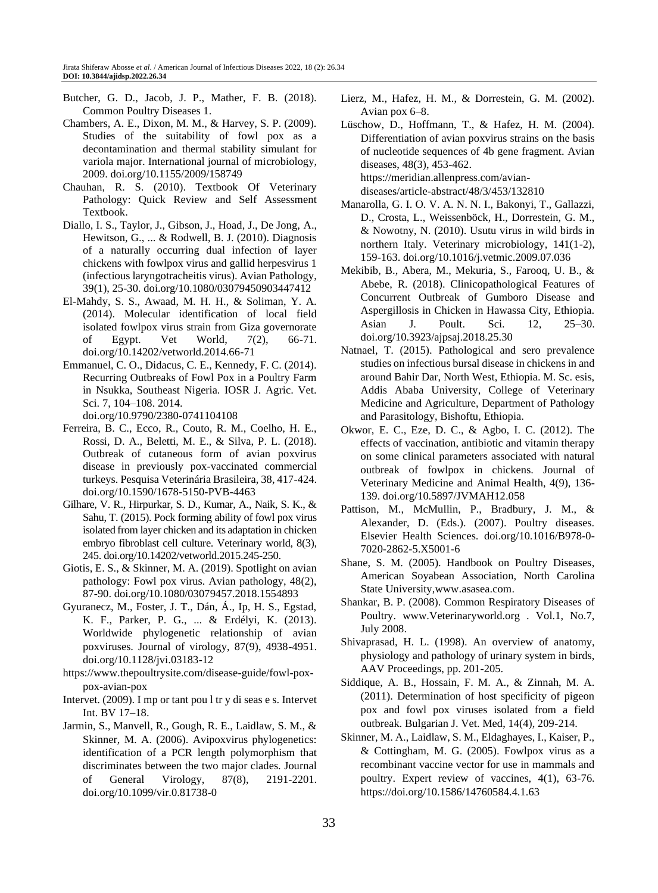- Butcher, G. D., Jacob, J. P., Mather, F. B. (2018). Common Poultry Diseases 1.
- Chambers, A. E., Dixon, M. M., & Harvey, S. P. (2009). Studies of the suitability of fowl pox as a decontamination and thermal stability simulant for variola major. International journal of microbiology, 2009. [doi.org/10.1155/2009/158749](https://doi.org/10.1155/2009/158749)
- Chauhan, R. S. (2010). Textbook Of Veterinary Pathology: Quick Review and Self Assessment Textbook.
- Diallo, I. S., Taylor, J., Gibson, J., Hoad, J., De Jong, A., Hewitson, G., ... & Rodwell, B. J. (2010). Diagnosis of a naturally occurring dual infection of layer chickens with fowlpox virus and gallid herpesvirus 1 (infectious laryngotracheitis virus). Avian Pathology, 39(1), 25-30. [doi.org/10.1080/03079450903447412](https://doi.org/10.1080/03079450903447412)
- El-Mahdy, S. S., Awaad, M. H. H., & Soliman, Y. A. (2014). Molecular identification of local field isolated fowlpox virus strain from Giza governorate of Egypt. Vet World, 7(2), 66-71. [doi.org/10.14202/vetworld.2014.66-71](https://doi.org/10.14202/vetworld.2014.66-71)
- Emmanuel, C. O., Didacus, C. E., Kennedy, F. C. (2014). Recurring Outbreaks of Fowl Pox in a Poultry Farm in Nsukka, Southeast Nigeria. IOSR J. Agric. Vet. Sci. 7, 104–108. 2014.

[doi.org/10.9790/2380-0741104108](https://doi.org/10.9790/2380-0741104108)

- Ferreira, B. C., Ecco, R., Couto, R. M., Coelho, H. E., Rossi, D. A., Beletti, M. E., & Silva, P. L. (2018). Outbreak of cutaneous form of avian poxvirus disease in previously pox-vaccinated commercial turkeys. Pesquisa Veterinária Brasileira, 38, 417-424. [doi.org/10.1590/1678-5150-PVB-4463](https://doi.org/10.1590/1678-5150-PVB-4463)
- Gilhare, V. R., Hirpurkar, S. D., Kumar, A., Naik, S. K., & Sahu, T. (2015). Pock forming ability of fowl pox virus isolated from layer chicken and its adaptation in chicken embryo fibroblast cell culture. Veterinary world, 8(3), 245. [doi.org/10.14202/vetworld.2015.245-250.](https://doi.org/10.14202/vetworld.2015.245-250)
- Giotis, E. S., & Skinner, M. A. (2019). Spotlight on avian pathology: Fowl pox virus. Avian pathology, 48(2), 87-90. [doi.org/10.1080/03079457.2018.1554893](https://doi.org/10.1080/03079457.2018.1554893)
- Gyuranecz, M., Foster, J. T., Dán, Á., Ip, H. S., Egstad, K. F., Parker, P. G., ... & Erdélyi, K. (2013). Worldwide phylogenetic relationship of avian poxviruses. Journal of virology, 87(9), 4938-4951. [doi.org/10.1128/jvi.03183-12](https://doi.org/10.1128/jvi.03183-12)
- [https://www.thepoultrysite.com/disease-guide/fowl-pox](https://www.thepoultrysite.com/disease-guide/fowl-pox-pox-avian-pox)[pox-avian-pox](https://www.thepoultrysite.com/disease-guide/fowl-pox-pox-avian-pox)
- Intervet. (2009). I mp or tant pou l tr y di seas e s. Intervet Int. BV 17–18.
- Jarmin, S., Manvell, R., Gough, R. E., Laidlaw, S. M., & Skinner, M. A. (2006). Avipoxvirus phylogenetics: identification of a PCR length polymorphism that discriminates between the two major clades. Journal of General Virology, 87(8), 2191-2201. [doi.org/10.1099/vir.0.81738-0](https://doi.org/10.1099/vir.0.81738-0)
- Lierz, M., Hafez, H. M., & Dorrestein, G. M. (2002). Avian pox 6–8.
- Lüschow, D., Hoffmann, T., & Hafez, H. M. (2004). Differentiation of avian poxvirus strains on the basis of nucleotide sequences of 4b gene fragment. Avian diseases, 48(3), 453-462. https://meridian.allenpress.com/aviandiseases/article-abstract/48/3/453/132810
- Manarolla, G. I. O. V. A. N. N. I., Bakonyi, T., Gallazzi, D., Crosta, L., Weissenböck, H., Dorrestein, G. M., & Nowotny, N. (2010). Usutu virus in wild birds in northern Italy. Veterinary microbiology, 141(1-2), 159-163. doi.org/10.1016/j.vetmic.2009.07.036
- Mekibib, B., Abera, M., Mekuria, S., Farooq, U. B., & Abebe, R. (2018). Clinicopathological Features of Concurrent Outbreak of Gumboro Disease and Aspergillosis in Chicken in Hawassa City, Ethiopia. Asian J. Poult. Sci. 12, 25–30. doi.org/10.3923/ajpsaj.2018.25.30
- Natnael, T. (2015). Pathological and sero prevalence studies on infectious bursal disease in chickens in and around Bahir Dar, North West, Ethiopia. M. Sc. esis, Addis Ababa University, College of Veterinary Medicine and Agriculture, Department of Pathology and Parasitology, Bishoftu, Ethiopia.
- Okwor, E. C., Eze, D. C., & Agbo, I. C. (2012). The effects of vaccination, antibiotic and vitamin therapy on some clinical parameters associated with natural outbreak of fowlpox in chickens. Journal of Veterinary Medicine and Animal Health, 4(9), 136- 139. [doi.org/10.5897/JVMAH12.058](https://doi.org/10.5897/JVMAH12.058)
- Pattison, M., McMullin, P., Bradbury, J. M., & Alexander, D. (Eds.). (2007). Poultry diseases. Elsevier Health Sciences. [doi.org/10.1016/B978-0-](https://doi.org/10.1016/B978-0-7020-2862-5.X5001-6) [7020-2862-5.X5001-6](https://doi.org/10.1016/B978-0-7020-2862-5.X5001-6)
- Shane, S. M. (2005). Handbook on Poultry Diseases, American Soyabean Association, North Carolina State University,www.asasea.com.
- Shankar, B. P. (2008). Common Respiratory Diseases of Poultry. www.Veterinaryworld.org . Vol.1, No.7, July 2008.
- Shivaprasad, H. L. (1998). An overview of anatomy, physiology and pathology of urinary system in birds, AAV Proceedings, pp. 201-205.
- Siddique, A. B., Hossain, F. M. A., & Zinnah, M. A. (2011). Determination of host specificity of pigeon pox and fowl pox viruses isolated from a field outbreak. Bulgarian J. Vet. Med, 14(4), 209-214.
- Skinner, M. A., Laidlaw, S. M., Eldaghayes, I., Kaiser, P., & Cottingham, M. G. (2005). Fowlpox virus as a recombinant vaccine vector for use in mammals and poultry. Expert review of vaccines, 4(1), 63-76. <https://doi.org/10.1586/14760584.4.1.63>